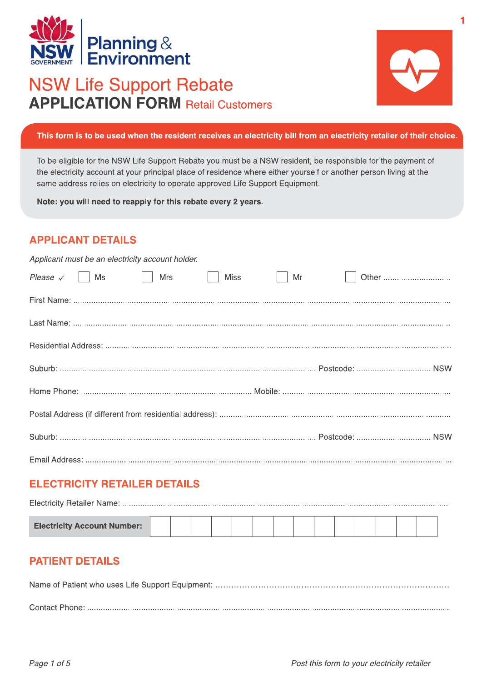

## **NSW Life Support Rebate APPLICATION FORM Retail Customers**

#### This form is to be used when the resident receives an electricity bill from an electricity retailer of their choice.

To be eligible for the NSW Life Support Rebate you must be a NSW resident, be responsible for the payment of the electricity account at your principal place of residence where either yourself or another person living at the same address relies on electricity to operate approved Life Support Equipment.

Note: you will need to reapply for this rebate every 2 years.

#### **APPLICANT DETAILS**

| Applicant must be an electricity account holder.                |    |  |  |  |  |  |
|-----------------------------------------------------------------|----|--|--|--|--|--|
| Please $\checkmark$   Ms<br>Mrs<br>and the state<br><b>Miss</b> | Mr |  |  |  |  |  |
|                                                                 |    |  |  |  |  |  |
|                                                                 |    |  |  |  |  |  |
|                                                                 |    |  |  |  |  |  |
|                                                                 |    |  |  |  |  |  |
|                                                                 |    |  |  |  |  |  |
|                                                                 |    |  |  |  |  |  |
|                                                                 |    |  |  |  |  |  |
|                                                                 |    |  |  |  |  |  |

#### **ELECTRICITY RETAILER DETAILS**

| <b>Electricity Account Number:</b> |  |  |  |  |  |  |  |  |  |  |  |  |  |  |
|------------------------------------|--|--|--|--|--|--|--|--|--|--|--|--|--|--|
|------------------------------------|--|--|--|--|--|--|--|--|--|--|--|--|--|--|

#### **PATIENT DETAILS**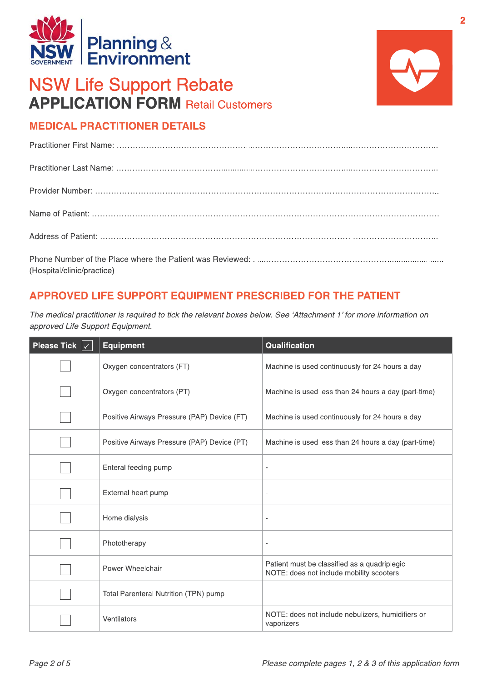

# **NSW Life Support Rebate APPLICATION FORM Retail Customers**



### **MEDICAL PRACTITIONER DETAILS**

(Hospital/clinic/practice)

#### APPROVED LIFE SUPPORT EQUIPMENT PRESCRIBED FOR THE PATIENT

The medical practitioner is required to tick the relevant boxes below. See 'Attachment 1' for more information on approved Life Support Equipment.

| Please Tick $ \sqrt{} $ | <b>Equipment</b>                            | Qualification                                                                            |
|-------------------------|---------------------------------------------|------------------------------------------------------------------------------------------|
|                         | Oxygen concentrators (FT)                   | Machine is used continuously for 24 hours a day                                          |
|                         | Oxygen concentrators (PT)                   | Machine is used less than 24 hours a day (part-time)                                     |
|                         | Positive Airways Pressure (PAP) Device (FT) | Machine is used continuously for 24 hours a day                                          |
|                         | Positive Airways Pressure (PAP) Device (PT) | Machine is used less than 24 hours a day (part-time)                                     |
|                         | Enteral feeding pump                        |                                                                                          |
|                         | External heart pump                         |                                                                                          |
|                         | Home dialysis                               |                                                                                          |
|                         | Phototherapy                                | $\blacksquare$                                                                           |
|                         | Power Wheelchair                            | Patient must be classified as a quadriplegic<br>NOTE: does not include mobility scooters |
|                         | Total Parenteral Nutrition (TPN) pump       |                                                                                          |
|                         | Ventilators                                 | NOTE: does not include nebulizers, humidifiers or<br>vaporizers                          |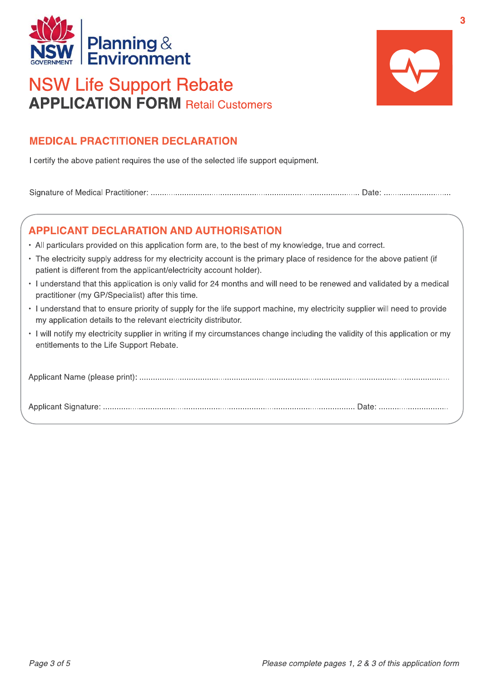

# **NSW Life Support Rebate APPLICATION FORM Retail Customers**



3

#### **MEDICAL PRACTITIONER DECLARATION**

I certify the above patient requires the use of the selected life support equipment.

#### **APPLICANT DECLARATION AND AUTHORISATION**

- All particulars provided on this application form are, to the best of my knowledge, true and correct.
- The electricity supply address for my electricity account is the primary place of residence for the above patient (if patient is different from the applicant/electricity account holder).
- I understand that this application is only valid for 24 months and will need to be renewed and validated by a medical practitioner (my GP/Specialist) after this time.
- I understand that to ensure priority of supply for the life support machine, my electricity supplier will need to provide my application details to the relevant electricity distributor.
- I will notify my electricity supplier in writing if my circumstances change including the validity of this application or my entitlements to the Life Support Rebate.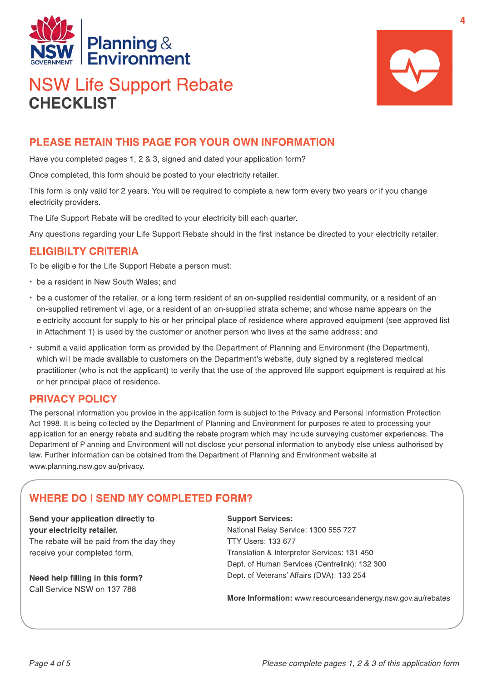



### **NSW Life Support Rebate CHECKLIST**

### PLEASE RETAIN THIS PAGE FOR YOUR OWN INFORMATION

Have you completed pages 1, 2 & 3, signed and dated your application form?

Once completed, this form should be posted to your electricity retailer.

This form is only valid for 2 years. You will be required to complete a new form every two years or if you change electricity providers.

The Life Support Rebate will be credited to your electricity bill each quarter.

Any questions regarding your Life Support Rebate should in the first instance be directed to your electricity retailer.

#### **ELIGIBILTY CRITERIA**

To be eligible for the Life Support Rebate a person must:

- be a resident in New South Wales: and
- be a customer of the retailer, or a long term resident of an on-supplied residential community, or a resident of an on-supplied retirement village, or a resident of an on-supplied strata scheme; and whose name appears on the electricity account for supply to his or her principal place of residence where approved equipment (see approved list in Attachment 1) is used by the customer or another person who lives at the same address; and
- submit a valid application form as provided by the Department of Planning and Environment (the Department), which will be made available to customers on the Department's website, duly signed by a registered medical practitioner (who is not the applicant) to verify that the use of the approved life support equipment is required at his or her principal place of residence.

#### **PRIVACY POLICY**

The personal information you provide in the application form is subject to the Privacy and Personal Information Protection Act 1998. It is being collected by the Department of Planning and Environment for purposes related to processing your application for an energy rebate and auditing the rebate program which may include surveying customer experiences. The Department of Planning and Environment will not disclose your personal information to anybody else unless authorised by law. Further information can be obtained from the Department of Planning and Environment website at www.planning.nsw.gov.au/privacy.

### **WHERE DO I SEND MY COMPLETED FORM?**

Send your application directly to your electricity retailer. The rebate will be paid from the day they receive your completed form.

Need help filling in this form? Call Service NSW on 137 788

**Support Services:** 

National Relay Service: 1300 555 727 **TTY Users: 133 677** Translation & Interpreter Services: 131 450 Dept. of Human Services (Centrelink): 132 300 Dept. of Veterans' Affairs (DVA): 133 254

More Information: www.resourcesandenergy.nsw.gov.au/rebates